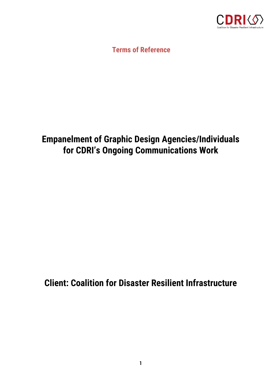

**Terms of Reference**

# **Empanelment of Graphic Design Agencies/Individuals for CDRI's Ongoing Communications Work**

# **Client: Coalition for Disaster Resilient Infrastructure**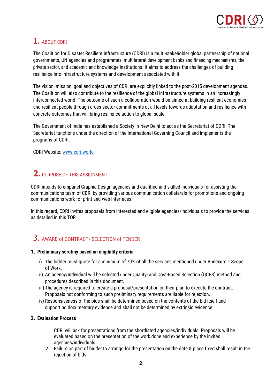

# 1. ABOUT CDRI

The Coalition for Disaster Resilient Infrastructure (CDRI) is a multi-stakeholder global partnership of national governments, UN agencies and programmes, multilateral development banks and financing mechanisms, the private sector, and academic and knowledge institutions. It aims to address the challenges of building resilience into infrastructure systems and development associated with it.

The vision, mission, goal and objectives of CDRI are explicitly linked to the post-2015 development agendas. The Coalition will also contribute to the resilience of the global infrastructure systems in an increasingly interconnected world. The outcome of such a collaboration would be aimed at building resilient economies and resilient people through cross-sector commitments at all levels towards adaptation and resilience with concrete outcomes that will bring resilience action to global scale.

The Government of India has established a Society in New Delhi to act as the Secretariat of CDRI. The Secretariat functions under the direction of the international Governing Council and implements the programs of CDRI.

CDRI Website[: www.cdri.world](http://www.cdri.world/)

# **2.** PURPOSE OF THIS ASSIGNMENT

CDRI intends to empanel Graphic Design agencies and qualified and skilled individuals for assisting the communications team of CDRI by providing various communication collaterals for promotions and ongoing communications work for print and web interfaces.

In this regard, CDRI invites proposals from interested and eligible agencies/individuals to provide the services as detailed in this TOR.

# 3. AWARD of CONTRACT/ SELECTION of TENDER

### **1. Preliminary scrutiny based on eligibility criteria**

- i) The bidder must quote for a minimum of 70% of all the services mentioned under Annexure 1 Scope of Work.
- ii) An agency/individual will be selected under Quality- and Cost-Based Selection (QCBS) method and procedures described in this document.
- iii) The agency is required to create a proposal/presentation on their plan to execute the contract. Proposals not conforming to such preliminary requirements are liable for rejection.
- iv) Responsiveness of the bids shall be determined based on the contents of the bid itself and supporting documentary evidence and shall not be determined by extrinsic evidence.

### **2. Evaluation Process**

- 1. CDRI will ask for presentations from the shortlisted agencies/individuals. Proposals will be evaluated based on the presentation of the work done and experience by the invited agencies/individuals
- 2. Failure on part of bidder to arrange for the presentation on the date & place fixed shall result in the rejection of bids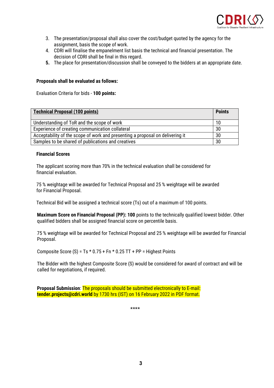

- 3. The presentation/proposal shall also cover the cost/budget quoted by the agency for the assignment, basis the scope of work.
- 4. CDRI will finalise the empanelment list basis the technical and financial presentation. The decision of CDRI shall be final in this regard.
- **5.** The place for presentation/discussion shall be conveyed to the bidders at an appropriate date.

#### **Proposals shall be evaluated as follows:**

Evaluation Criteria for bids - **100 points:**

| <b>Technical Proposal (100 points)</b>                                        | <b>Points</b> |
|-------------------------------------------------------------------------------|---------------|
| Understanding of ToR and the scope of work                                    | 10            |
| Experience of creating communication collateral                               | 30            |
| Acceptability of the scope of work and presenting a proposal on delivering it | 30            |
| Samples to be shared of publications and creatives                            | 30            |

#### **Financial Scores**

The applicant scoring more than 70% in the technical evaluation shall be considered for financial evaluation.

75 % weightage will be awarded for Technical Proposal and 25 % weightage will be awarded for Financial Proposal.

Technical Bid will be assigned a technical score (Ts) out of a maximum of 100 points.

**Maximum Score on Financial Proposal (PP): 100** points to the technically qualified lowest bidder. Other qualified bidders shall be assigned financial score on percentile basis.

75 % weightage will be awarded for Technical Proposal and 25 % weightage will be awarded for Financial Proposal.

Composite Score (S) =  $Ts * 0.75 + Fn * 0.25 TT + PP = Higher Points$ 

The Bidder with the highest Composite Score (S) would be considered for award of contract and will be called for negotiations, if required.

**Proposal Submission**: The proposals should be submitted electronically to E-mail: **tender.projects@cdri.world** by 1730 hrs (IST) on 16 February 2022 in PDF format.

\*\*\*\*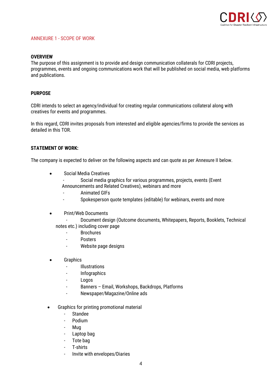

#### ANNEXURE 1 - SCOPE OF WORK

#### **OVERVIEW**

The purpose of this assignment is to provide and design communication collaterals for CDRI projects, programmes, events and ongoing communications work that will be published on social media, web platforms and publications.

#### **PURPOSE**

CDRI intends to select an agency/individual for creating regular communications collateral along with creatives for events and programmes.

In this regard, CDRI invites proposals from interested and eligible agencies/firms to provide the services as detailed in this TOR.

#### **STATEMENT OF WORK:**

The company is expected to deliver on the following aspects and can quote as per Annexure II below.

- Social Media Creatives
	- Social media graphics for various programmes, projects, events (Event Announcements and Related Creatives), webinars and more
	- Animated GIFs
	- Spokesperson quote templates (editable) for webinars, events and more
- Print/Web Documents
	- Document design (Outcome documents, Whitepapers, Reports, Booklets, Technical
	- notes etc.) including cover page
		- **Brochures**
		- Posters
		- Website page designs
- **Graphics** 
	- Illustrations
	- Infographics
	- Logos
	- Banners Email, Workshops, Backdrops, Platforms
	- Newspaper/Magazine/Online ads
- Graphics for printing promotional material
	- Standee
	- Podium
	- Mug
	- Laptop bag
	- Tote bag
	- T-shirts
	- Invite with envelopes/Diaries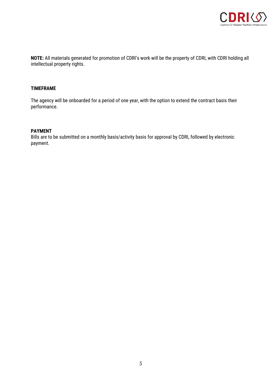

**NOTE:** All materials generated for promotion of CDRI's work will be the property of CDRI, with CDRI holding all intellectual property rights.

### **TIMEFRAME**

The agency will be onboarded for a period of one year, with the option to extend the contract basis their performance.

#### **PAYMENT**

Bills are to be submitted on a monthly basis/activity basis for approval by CDRI, followed by electronic payment.